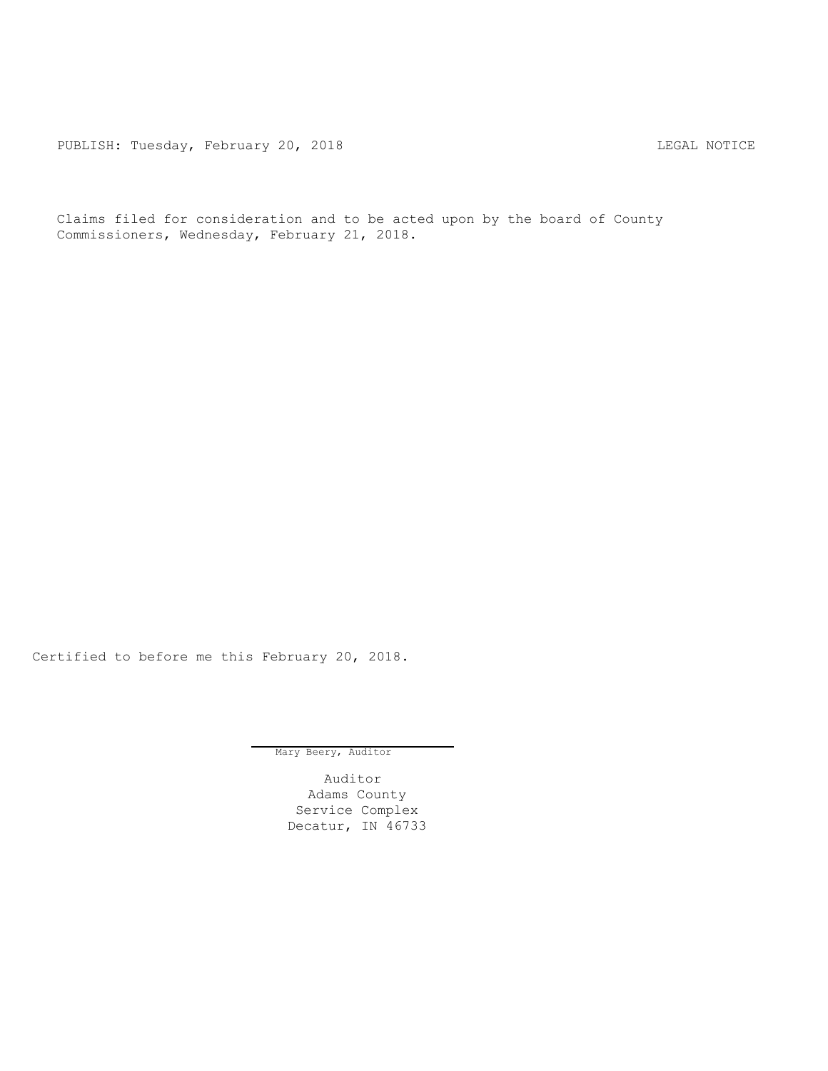PUBLISH: Tuesday, February 20, 2018 LEGAL NOTICE

Claims filed for consideration and to be acted upon by the board of County Commissioners, Wednesday, February 21, 2018.

Certified to before me this February 20, 2018.

Mary Beery, Auditor

Auditor Adams County Service Complex Decatur, IN 46733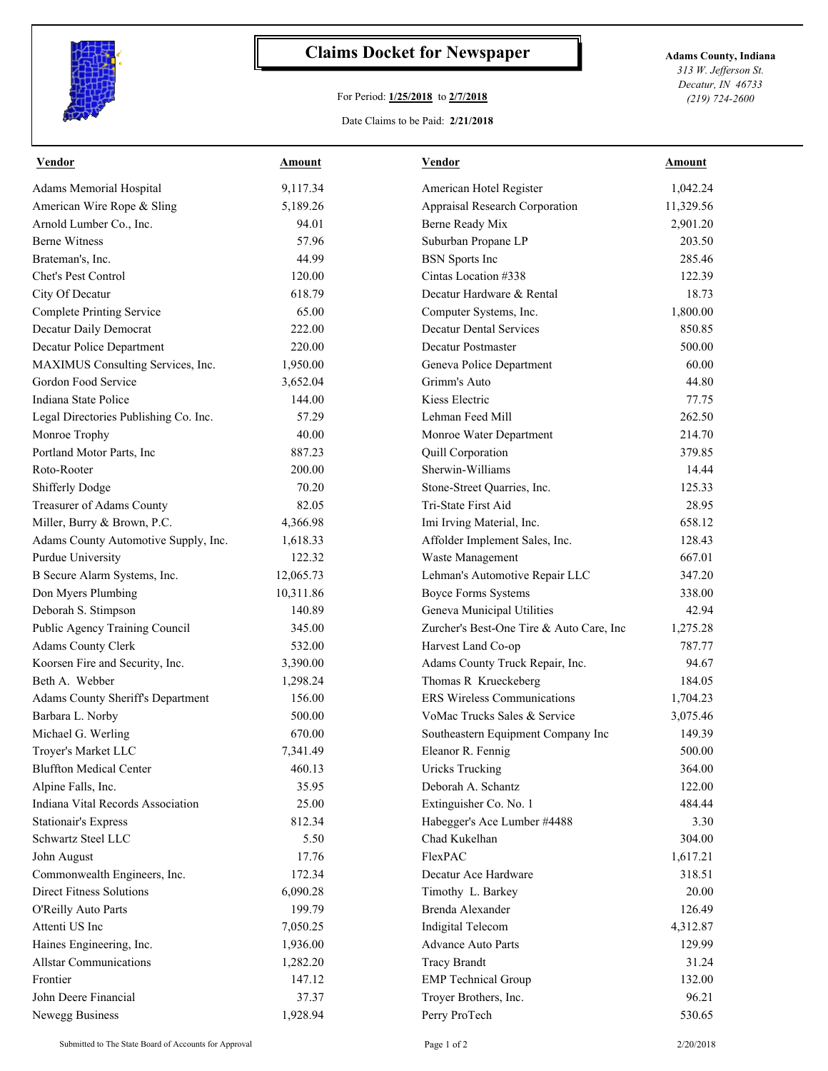

## **Claims Docket for Newspaper Adams County, Indiana**

## For Period: **1/25/2018** to **2/7/2018**

*313 W. Jefferson St. Decatur, IN 46733 (219) 724-2600*

## Date Claims to be Paid: **2/21/2018**

| <b>Vendor</b>                         | Amount    | Vendor                                   | Amount    |
|---------------------------------------|-----------|------------------------------------------|-----------|
| Adams Memorial Hospital               | 9,117.34  | American Hotel Register                  | 1,042.24  |
| American Wire Rope & Sling            | 5,189.26  | Appraisal Research Corporation           | 11,329.56 |
| Arnold Lumber Co., Inc.               | 94.01     | Berne Ready Mix                          | 2,901.20  |
| <b>Berne Witness</b>                  | 57.96     | Suburban Propane LP                      | 203.50    |
| Brateman's, Inc.                      | 44.99     | <b>BSN</b> Sports Inc                    | 285.46    |
| Chet's Pest Control                   | 120.00    | Cintas Location #338                     | 122.39    |
| City Of Decatur                       | 618.79    | Decatur Hardware & Rental                | 18.73     |
| <b>Complete Printing Service</b>      | 65.00     | Computer Systems, Inc.                   | 1,800.00  |
| Decatur Daily Democrat                | 222.00    | <b>Decatur Dental Services</b>           | 850.85    |
| Decatur Police Department             | 220.00    | Decatur Postmaster                       | 500.00    |
| MAXIMUS Consulting Services, Inc.     | 1,950.00  | Geneva Police Department                 | 60.00     |
| Gordon Food Service                   | 3,652.04  | Grimm's Auto                             | 44.80     |
| Indiana State Police                  | 144.00    | Kiess Electric                           | 77.75     |
| Legal Directories Publishing Co. Inc. | 57.29     | Lehman Feed Mill                         | 262.50    |
| Monroe Trophy                         | 40.00     | Monroe Water Department                  | 214.70    |
| Portland Motor Parts, Inc.            | 887.23    | Quill Corporation                        | 379.85    |
| Roto-Rooter                           | 200.00    | Sherwin-Williams                         | 14.44     |
| Shifferly Dodge                       | 70.20     | Stone-Street Quarries, Inc.              | 125.33    |
| Treasurer of Adams County             | 82.05     | Tri-State First Aid                      | 28.95     |
| Miller, Burry & Brown, P.C.           | 4,366.98  | Imi Irving Material, Inc.                | 658.12    |
| Adams County Automotive Supply, Inc.  | 1,618.33  | Affolder Implement Sales, Inc.           | 128.43    |
| Purdue University                     | 122.32    | Waste Management                         | 667.01    |
| B Secure Alarm Systems, Inc.          | 12,065.73 | Lehman's Automotive Repair LLC           | 347.20    |
| Don Myers Plumbing                    | 10,311.86 | <b>Boyce Forms Systems</b>               | 338.00    |
| Deborah S. Stimpson                   | 140.89    | Geneva Municipal Utilities               | 42.94     |
| Public Agency Training Council        | 345.00    | Zurcher's Best-One Tire & Auto Care, Inc | 1,275.28  |
| <b>Adams County Clerk</b>             | 532.00    | Harvest Land Co-op                       | 787.77    |
| Koorsen Fire and Security, Inc.       | 3,390.00  | Adams County Truck Repair, Inc.          | 94.67     |
| Beth A. Webber                        | 1,298.24  | Thomas R Krueckeberg                     | 184.05    |
| Adams County Sheriff's Department     | 156.00    | ERS Wireless Communications              | 1,704.23  |
| Barbara L. Norby                      | 500.00    | VoMac Trucks Sales & Service             |           |
|                                       |           |                                          | 3,075.46  |
| Michael G. Werling                    | 670.00    | Southeastern Equipment Company Inc       | 149.39    |
| Trover's Market LLC                   | 7,341.49  | Eleanor R. Fennig                        | 500.00    |
| <b>Bluffton Medical Center</b>        | 460.13    | <b>Uricks Trucking</b>                   | 364.00    |
| Alpine Falls, Inc.                    | 35.95     | Deborah A. Schantz                       | 122.00    |
| Indiana Vital Records Association     | 25.00     | Extinguisher Co. No. 1                   | 484.44    |
| <b>Stationair's Express</b>           | 812.34    | Habegger's Ace Lumber #4488              | 3.30      |
| Schwartz Steel LLC                    | 5.50      | Chad Kukelhan                            | 304.00    |
| John August                           | 17.76     | FlexPAC                                  | 1,617.21  |
| Commonwealth Engineers, Inc.          | 172.34    | Decatur Ace Hardware                     | 318.51    |
| <b>Direct Fitness Solutions</b>       | 6,090.28  | Timothy L. Barkey                        | 20.00     |
| O'Reilly Auto Parts                   | 199.79    | Brenda Alexander                         | 126.49    |
| Attenti US Inc                        | 7,050.25  | Indigital Telecom                        | 4,312.87  |
| Haines Engineering, Inc.              | 1,936.00  | Advance Auto Parts                       | 129.99    |
| <b>Allstar Communications</b>         | 1,282.20  | <b>Tracy Brandt</b>                      | 31.24     |
| Frontier                              | 147.12    | <b>EMP</b> Technical Group               | 132.00    |
| John Deere Financial                  | 37.37     | Troyer Brothers, Inc.                    | 96.21     |
| Newegg Business                       | 1,928.94  | Perry ProTech                            | 530.65    |